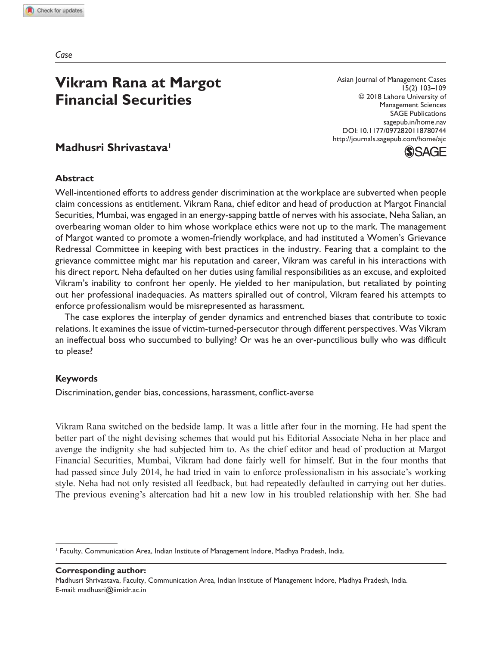# **Vikram Rana at Margot Financial Securities**

Asian Journal of Management Cases 15(2) 103–109 © 2018 Lahore University of Management Sciences SAGE Publications sagepub.in/home.nav DOI: 10.1177/0972820118780744 http://journals.sagepub.com/home/ajc



# **Madhusri Shrivastava<sup>1</sup>**

### **Abstract**

Well-intentioned efforts to address gender discrimination at the workplace are subverted when people claim concessions as entitlement. Vikram Rana, chief editor and head of production at Margot Financial Securities, Mumbai, was engaged in an energy-sapping battle of nerves with his associate, Neha Salian, an overbearing woman older to him whose workplace ethics were not up to the mark. The management of Margot wanted to promote a women-friendly workplace, and had instituted a Women's Grievance Redressal Committee in keeping with best practices in the industry. Fearing that a complaint to the grievance committee might mar his reputation and career, Vikram was careful in his interactions with his direct report. Neha defaulted on her duties using familial responsibilities as an excuse, and exploited Vikram's inability to confront her openly. He yielded to her manipulation, but retaliated by pointing out her professional inadequacies. As matters spiralled out of control, Vikram feared his attempts to enforce professionalism would be misrepresented as harassment.

 The case explores the interplay of gender dynamics and entrenched biases that contribute to toxic relations. It examines the issue of victim-turned-persecutor through different perspectives. Was Vikram an ineffectual boss who succumbed to bullying? Or was he an over-punctilious bully who was difficult to please?

### **Keywords**

Discrimination, gender bias, concessions, harassment, conflict-averse

Vikram Rana switched on the bedside lamp. It was a little after four in the morning. He had spent the better part of the night devising schemes that would put his Editorial Associate Neha in her place and avenge the indignity she had subjected him to. As the chief editor and head of production at Margot Financial Securities, Mumbai, Vikram had done fairly well for himself. But in the four months that had passed since July 2014, he had tried in vain to enforce professionalism in his associate's working style. Neha had not only resisted all feedback, but had repeatedly defaulted in carrying out her duties. The previous evening's altercation had hit a new low in his troubled relationship with her. She had

**Corresponding author:**

Madhusri Shrivastava, Faculty, Communication Area, Indian Institute of Management Indore, Madhya Pradesh, India. E-mail: madhusri@iimidr.ac.in

<sup>1</sup> Faculty, Communication Area, Indian Institute of Management Indore, Madhya Pradesh, India.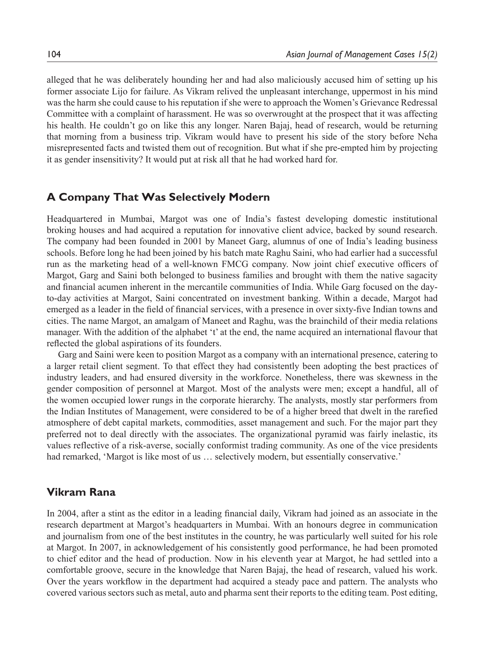alleged that he was deliberately hounding her and had also maliciously accused him of setting up his former associate Lijo for failure. As Vikram relived the unpleasant interchange, uppermost in his mind was the harm she could cause to his reputation if she were to approach the Women's Grievance Redressal Committee with a complaint of harassment. He was so overwrought at the prospect that it was affecting his health. He couldn't go on like this any longer. Naren Bajaj, head of research, would be returning that morning from a business trip. Vikram would have to present his side of the story before Neha misrepresented facts and twisted them out of recognition. But what if she pre-empted him by projecting it as gender insensitivity? It would put at risk all that he had worked hard for.

### **A Company That Was Selectively Modern**

Headquartered in Mumbai, Margot was one of India's fastest developing domestic institutional broking houses and had acquired a reputation for innovative client advice, backed by sound research. The company had been founded in 2001 by Maneet Garg, alumnus of one of India's leading business schools. Before long he had been joined by his batch mate Raghu Saini, who had earlier had a successful run as the marketing head of a well-known FMCG company. Now joint chief executive officers of Margot, Garg and Saini both belonged to business families and brought with them the native sagacity and financial acumen inherent in the mercantile communities of India. While Garg focused on the dayto-day activities at Margot, Saini concentrated on investment banking. Within a decade, Margot had emerged as a leader in the field of financial services, with a presence in over sixty-five Indian towns and cities. The name Margot, an amalgam of Maneet and Raghu, was the brainchild of their media relations manager. With the addition of the alphabet 't' at the end, the name acquired an international flavour that reflected the global aspirations of its founders.

Garg and Saini were keen to position Margot as a company with an international presence, catering to a larger retail client segment. To that effect they had consistently been adopting the best practices of industry leaders, and had ensured diversity in the workforce. Nonetheless, there was skewness in the gender composition of personnel at Margot. Most of the analysts were men; except a handful, all of the women occupied lower rungs in the corporate hierarchy. The analysts, mostly star performers from the Indian Institutes of Management, were considered to be of a higher breed that dwelt in the rarefied atmosphere of debt capital markets, commodities, asset management and such. For the major part they preferred not to deal directly with the associates. The organizational pyramid was fairly inelastic, its values reflective of a risk-averse, socially conformist trading community. As one of the vice presidents had remarked, 'Margot is like most of us ... selectively modern, but essentially conservative.'

### **Vikram Rana**

In 2004, after a stint as the editor in a leading financial daily, Vikram had joined as an associate in the research department at Margot's headquarters in Mumbai. With an honours degree in communication and journalism from one of the best institutes in the country, he was particularly well suited for his role at Margot. In 2007, in acknowledgement of his consistently good performance, he had been promoted to chief editor and the head of production. Now in his eleventh year at Margot, he had settled into a comfortable groove, secure in the knowledge that Naren Bajaj, the head of research, valued his work. Over the years workflow in the department had acquired a steady pace and pattern. The analysts who covered various sectors such as metal, auto and pharma sent their reports to the editing team. Post editing,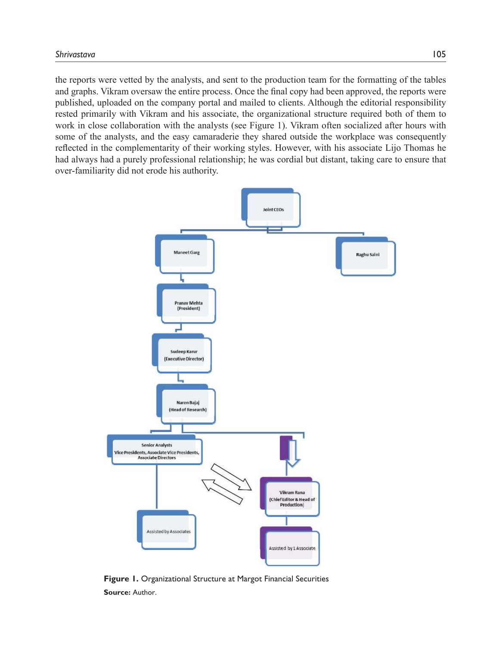the reports were vetted by the analysts, and sent to the production team for the formatting of the tables and graphs. Vikram oversaw the entire process. Once the final copy had been approved, the reports were published, uploaded on the company portal and mailed to clients. Although the editorial responsibility rested primarily with Vikram and his associate, the organizational structure required both of them to work in close collaboration with the analysts (see Figure 1). Vikram often socialized after hours with some of the analysts, and the easy camaraderie they shared outside the workplace was consequently reflected in the complementarity of their working styles. However, with his associate Lijo Thomas he had always had a purely professional relationship; he was cordial but distant, taking care to ensure that over-familiarity did not erode his authority.



**Figure 1.** Organizational Structure at Margot Financial Securities **Source:** Author.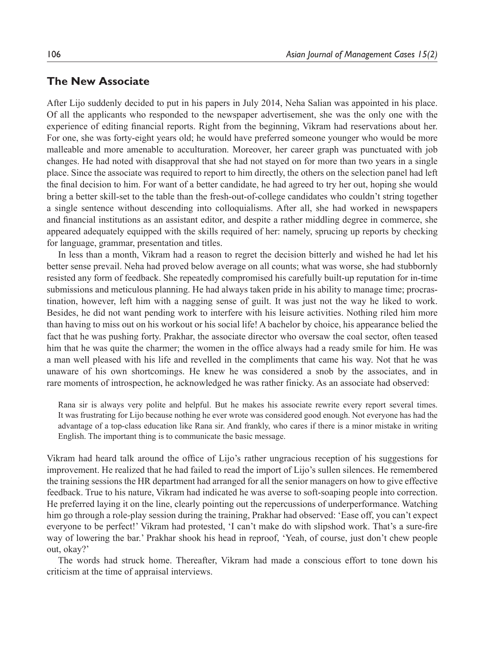# **The New Associate**

After Lijo suddenly decided to put in his papers in July 2014, Neha Salian was appointed in his place. Of all the applicants who responded to the newspaper advertisement, she was the only one with the experience of editing financial reports. Right from the beginning, Vikram had reservations about her. For one, she was forty-eight years old; he would have preferred someone younger who would be more malleable and more amenable to acculturation. Moreover, her career graph was punctuated with job changes. He had noted with disapproval that she had not stayed on for more than two years in a single place. Since the associate was required to report to him directly, the others on the selection panel had left the final decision to him. For want of a better candidate, he had agreed to try her out, hoping she would bring a better skill-set to the table than the fresh-out-of-college candidates who couldn't string together a single sentence without descending into colloquialisms. After all, she had worked in newspapers and financial institutions as an assistant editor, and despite a rather middling degree in commerce, she appeared adequately equipped with the skills required of her: namely, sprucing up reports by checking for language, grammar, presentation and titles.

In less than a month, Vikram had a reason to regret the decision bitterly and wished he had let his better sense prevail. Neha had proved below average on all counts; what was worse, she had stubbornly resisted any form of feedback. She repeatedly compromised his carefully built-up reputation for in-time submissions and meticulous planning. He had always taken pride in his ability to manage time; procrastination, however, left him with a nagging sense of guilt. It was just not the way he liked to work. Besides, he did not want pending work to interfere with his leisure activities. Nothing riled him more than having to miss out on his workout or his social life! A bachelor by choice, his appearance belied the fact that he was pushing forty. Prakhar, the associate director who oversaw the coal sector, often teased him that he was quite the charmer; the women in the office always had a ready smile for him. He was a man well pleased with his life and revelled in the compliments that came his way. Not that he was unaware of his own shortcomings. He knew he was considered a snob by the associates, and in rare moments of introspection, he acknowledged he was rather finicky. As an associate had observed:

Rana sir is always very polite and helpful. But he makes his associate rewrite every report several times. It was frustrating for Lijo because nothing he ever wrote was considered good enough. Not everyone has had the advantage of a top-class education like Rana sir. And frankly, who cares if there is a minor mistake in writing English. The important thing is to communicate the basic message.

Vikram had heard talk around the office of Lijo's rather ungracious reception of his suggestions for improvement. He realized that he had failed to read the import of Lijo's sullen silences. He remembered the training sessions the HR department had arranged for all the senior managers on how to give effective feedback. True to his nature, Vikram had indicated he was averse to soft-soaping people into correction. He preferred laying it on the line, clearly pointing out the repercussions of underperformance. Watching him go through a role-play session during the training, Prakhar had observed: 'Ease off, you can't expect everyone to be perfect!' Vikram had protested, 'I can't make do with slipshod work. That's a sure-fire way of lowering the bar.' Prakhar shook his head in reproof, 'Yeah, of course, just don't chew people out, okay?'

The words had struck home. Thereafter, Vikram had made a conscious effort to tone down his criticism at the time of appraisal interviews.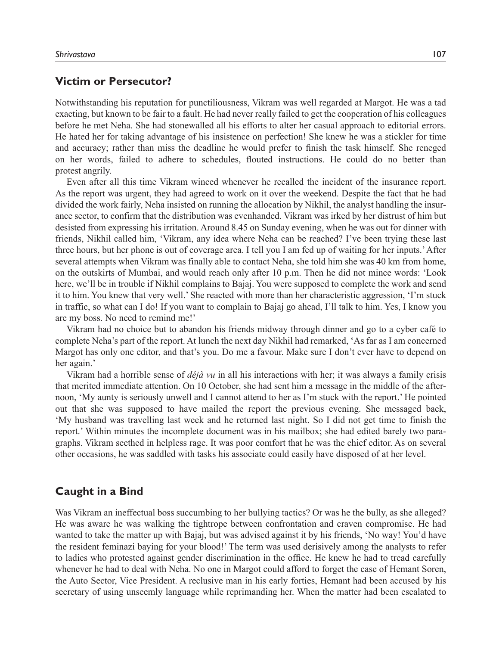# **Victim or Persecutor?**

Notwithstanding his reputation for punctiliousness, Vikram was well regarded at Margot. He was a tad exacting, but known to be fair to a fault. He had never really failed to get the cooperation of his colleagues before he met Neha. She had stonewalled all his efforts to alter her casual approach to editorial errors. He hated her for taking advantage of his insistence on perfection! She knew he was a stickler for time and accuracy; rather than miss the deadline he would prefer to finish the task himself. She reneged on her words, failed to adhere to schedules, flouted instructions. He could do no better than protest angrily.

Even after all this time Vikram winced whenever he recalled the incident of the insurance report. As the report was urgent, they had agreed to work on it over the weekend. Despite the fact that he had divided the work fairly, Neha insisted on running the allocation by Nikhil, the analyst handling the insurance sector, to confirm that the distribution was evenhanded. Vikram was irked by her distrust of him but desisted from expressing his irritation. Around 8.45 on Sunday evening, when he was out for dinner with friends, Nikhil called him, 'Vikram, any idea where Neha can be reached? I've been trying these last three hours, but her phone is out of coverage area. I tell you I am fed up of waiting for her inputs.' After several attempts when Vikram was finally able to contact Neha, she told him she was 40 km from home, on the outskirts of Mumbai, and would reach only after 10 p.m. Then he did not mince words: 'Look here, we'll be in trouble if Nikhil complains to Bajaj. You were supposed to complete the work and send it to him. You knew that very well.' She reacted with more than her characteristic aggression, 'I'm stuck in traffic, so what can I do! If you want to complain to Bajaj go ahead, I'll talk to him. Yes, I know you are my boss. No need to remind me!'

Vikram had no choice but to abandon his friends midway through dinner and go to a cyber café to complete Neha's part of the report. At lunch the next day Nikhil had remarked, 'As far as I am concerned Margot has only one editor, and that's you. Do me a favour. Make sure I don't ever have to depend on her again.'

Vikram had a horrible sense of *déjà vu* in all his interactions with her; it was always a family crisis that merited immediate attention. On 10 October, she had sent him a message in the middle of the afternoon, 'My aunty is seriously unwell and I cannot attend to her as I'm stuck with the report.' He pointed out that she was supposed to have mailed the report the previous evening. She messaged back, 'My husband was travelling last week and he returned last night. So I did not get time to finish the report.' Within minutes the incomplete document was in his mailbox; she had edited barely two paragraphs. Vikram seethed in helpless rage. It was poor comfort that he was the chief editor. As on several other occasions, he was saddled with tasks his associate could easily have disposed of at her level.

### **Caught in a Bind**

Was Vikram an ineffectual boss succumbing to her bullying tactics? Or was he the bully, as she alleged? He was aware he was walking the tightrope between confrontation and craven compromise. He had wanted to take the matter up with Bajaj, but was advised against it by his friends, 'No way! You'd have the resident feminazi baying for your blood!' The term was used derisively among the analysts to refer to ladies who protested against gender discrimination in the office. He knew he had to tread carefully whenever he had to deal with Neha. No one in Margot could afford to forget the case of Hemant Soren, the Auto Sector, Vice President. A reclusive man in his early forties, Hemant had been accused by his secretary of using unseemly language while reprimanding her. When the matter had been escalated to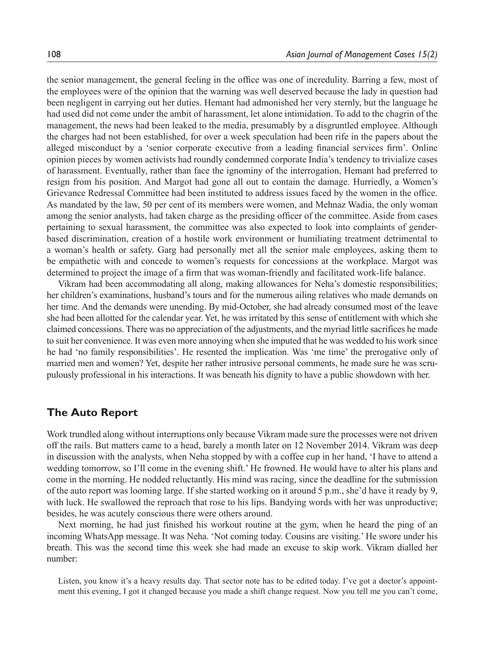the senior management, the general feeling in the office was one of incredulity. Barring a few, most of the employees were of the opinion that the warning was well deserved because the lady in question had been negligent in carrying out her duties. Hemant had admonished her very sternly, but the language he had used did not come under the ambit of harassment, let alone intimidation. To add to the chagrin of the management, the news had been leaked to the media, presumably by a disgruntled employee. Although the charges had not been established, for over a week speculation had been rife in the papers about the alleged misconduct by a 'senior corporate executive from a leading financial services firm'. Online opinion pieces by women activists had roundly condemned corporate India's tendency to trivialize cases of harassment. Eventually, rather than face the ignominy of the interrogation, Hemant had preferred to resign from his position. And Margot had gone all out to contain the damage. Hurriedly, a Women's Grievance Redressal Committee had been instituted to address issues faced by the women in the office. As mandated by the law, 50 per cent of its members were women, and Mehnaz Wadia, the only woman among the senior analysts, had taken charge as the presiding officer of the committee. Aside from cases pertaining to sexual harassment, the committee was also expected to look into complaints of genderbased discrimination, creation of a hostile work environment or humiliating treatment detrimental to a woman's health or safety. Garg had personally met all the senior male employees, asking them to be empathetic with and concede to women's requests for concessions at the workplace. Margot was determined to project the image of a firm that was woman-friendly and facilitated work*-*life balance.

Vikram had been accommodating all along, making allowances for Neha's domestic responsibilities; her children's examinations, husband's tours and for the numerous ailing relatives who made demands on her time. And the demands were unending. By mid-October, she had already consumed most of the leave she had been allotted for the calendar year. Yet, he was irritated by this sense of entitlement with which she claimed concessions. There was no appreciation of the adjustments, and the myriad little sacrifices he made to suit her convenience. It was even more annoying when she imputed that he was wedded to his work since he had 'no family responsibilities'. He resented the implication. Was 'me time' the prerogative only of married men and women? Yet, despite her rather intrusive personal comments, he made sure he was scrupulously professional in his interactions. It was beneath his dignity to have a public showdown with her.

### **The Auto Report**

Work trundled along without interruptions only because Vikram made sure the processes were not driven off the rails. But matters came to a head, barely a month later on 12 November 2014. Vikram was deep in discussion with the analysts, when Neha stopped by with a coffee cup in her hand, 'I have to attend a wedding tomorrow, so I'll come in the evening shift.' He frowned. He would have to alter his plans and come in the morning. He nodded reluctantly. His mind was racing, since the deadline for the submission of the auto report was looming large. If she started working on it around 5 p.m., she'd have it ready by 9, with luck. He swallowed the reproach that rose to his lips. Bandying words with her was unproductive; besides, he was acutely conscious there were others around.

Next morning, he had just finished his workout routine at the gym, when he heard the ping of an incoming WhatsApp message. It was Neha. 'Not coming today. Cousins are visiting.' He swore under his breath. This was the second time this week she had made an excuse to skip work. Vikram dialled her number:

Listen, you know it's a heavy results day. That sector note has to be edited today. I've got a doctor's appointment this evening, I got it changed because you made a shift change request. Now you tell me you can't come,